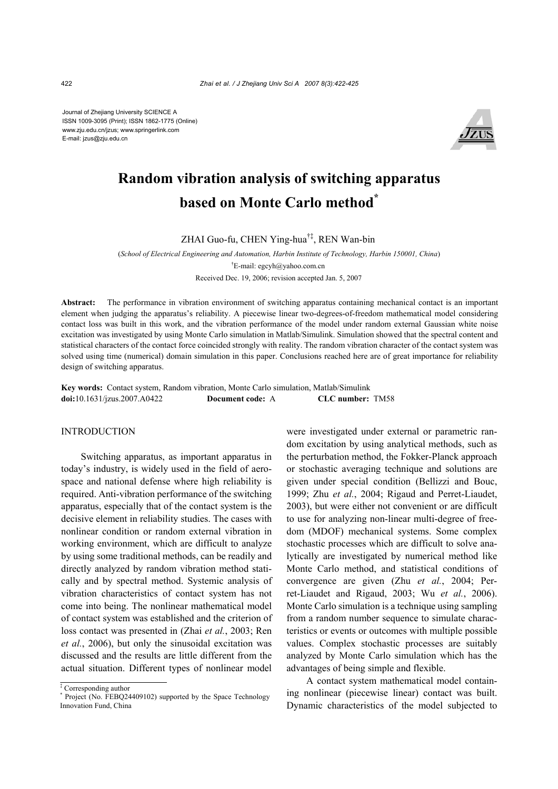Journal of Zhejiang University SCIENCE A ISSN 1009-3095 (Print); ISSN 1862-1775 (Online) www.zju.edu.cn/jzus; www.springerlink.com E-mail: jzus@zju.edu.cn



# **Random vibration analysis of switching apparatus based on Monte Carlo method\***

ZHAI Guo-fu, CHEN Ying-hua†‡, REN Wan-bin

(*School of Electrical Engineering and Automation, Harbin Institute of Technology, Harbin 150001, China*) † E-mail: egcyh@yahoo.com.cn

Received Dec. 19, 2006; revision accepted Jan. 5, 2007

**Abstract:** The performance in vibration environment of switching apparatus containing mechanical contact is an important element when judging the apparatus's reliability. A piecewise linear two-degrees-of-freedom mathematical model considering contact loss was built in this work, and the vibration performance of the model under random external Gaussian white noise excitation was investigated by using Monte Carlo simulation in Matlab/Simulink. Simulation showed that the spectral content and statistical characters of the contact force coincided strongly with reality. The random vibration character of the contact system was solved using time (numerical) domain simulation in this paper. Conclusions reached here are of great importance for reliability design of switching apparatus.

**Key words:** Contact system, Random vibration, Monte Carlo simulation, Matlab/Simulink **doi:**10.1631/jzus.2007.A0422 **Document code:** A **CLC number:** TM58

#### INTRODUCTION

Switching apparatus, as important apparatus in today's industry, is widely used in the field of aerospace and national defense where high reliability is required. Anti-vibration performance of the switching apparatus, especially that of the contact system is the decisive element in reliability studies. The cases with nonlinear condition or random external vibration in working environment, which are difficult to analyze by using some traditional methods, can be readily and directly analyzed by random vibration method statically and by spectral method. Systemic analysis of vibration characteristics of contact system has not come into being. The nonlinear mathematical model of contact system was established and the criterion of loss contact was presented in (Zhai *et al.*, 2003; Ren *et al.*, 2006), but only the sinusoidal excitation was discussed and the results are little different from the actual situation. Different types of nonlinear model were investigated under external or parametric random excitation by using analytical methods, such as the perturbation method, the Fokker-Planck approach or stochastic averaging technique and solutions are given under special condition (Bellizzi and Bouc, 1999; Zhu *et al.*, 2004; Rigaud and Perret-Liaudet, 2003), but were either not convenient or are difficult to use for analyzing non-linear multi-degree of freedom (MDOF) mechanical systems. Some complex stochastic processes which are difficult to solve analytically are investigated by numerical method like Monte Carlo method, and statistical conditions of convergence are given (Zhu *et al.*, 2004; Perret-Liaudet and Rigaud, 2003; Wu *et al.*, 2006). Monte Carlo simulation is a technique using sampling from a random number sequence to simulate characteristics or events or outcomes with multiple possible values. Complex stochastic processes are suitably analyzed by Monte Carlo simulation which has the advantages of being simple and flexible.

A contact system mathematical model containing nonlinear (piecewise linear) contact was built. Dynamic characteristics of the model subjected to

<sup>‡</sup> Corresponding author

<sup>\*</sup> Project (No. FEBQ24409102) supported by the Space Technology Innovation Fund, China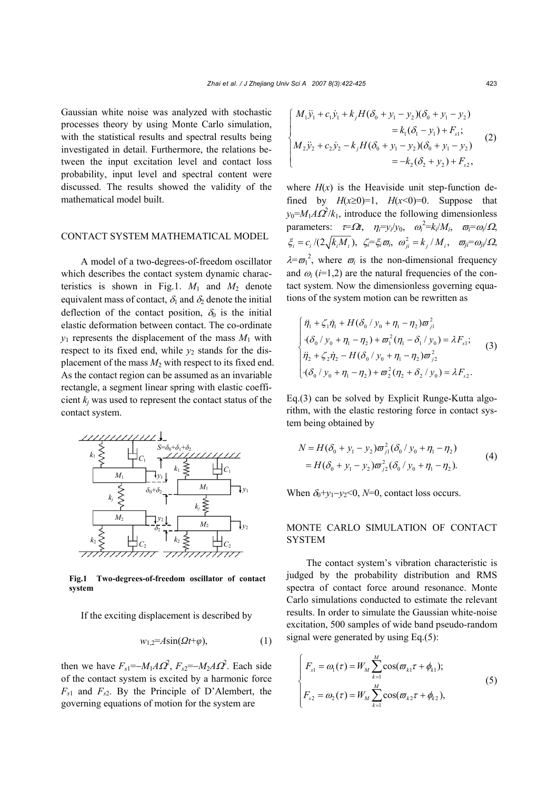Gaussian white noise was analyzed with stochastic processes theory by using Monte Carlo simulation, with the statistical results and spectral results being investigated in detail. Furthermore, the relations between the input excitation level and contact loss probability, input level and spectral content were discussed. The results showed the validity of the mathematical model built.

## CONTACT SYSTEM MATHEMATICAL MODEL

A model of a two-degrees-of-freedom oscillator which describes the contact system dynamic characteristics is shown in Fig.1.  $M_1$  and  $M_2$  denote equivalent mass of contact,  $\delta_1$  and  $\delta_2$  denote the initial deflection of the contact position,  $\delta_0$  is the initial elastic deformation between contact. The co-ordinate  $y_1$  represents the displacement of the mass  $M_1$  with respect to its fixed end, while  $y_2$  stands for the displacement of the mass  $M_2$  with respect to its fixed end. As the contact region can be assumed as an invariable rectangle, a segment linear spring with elastic coefficient  $k_i$  was used to represent the contact status of the contact system.



**Fig.1 Two-degrees-of-freedom oscillator of contact system**

If the exciting displacement is described by

$$
w_{1,2} = A\sin(\Omega t + \varphi), \tag{1}
$$

then we have  $F_{s1} = -M_1 A \Omega^2$ ,  $F_{s2} = -M_2 A \Omega^2$ . Each side of the contact system is excited by a harmonic force  $F_{s1}$  and  $F_{s2}$ . By the Principle of D'Alembert, the governing equations of motion for the system are

$$
\begin{cases}\nM_1 \ddot{y}_1 + c_1 \dot{y}_1 + k_j H(\delta_0 + y_1 - y_2)(\delta_0 + y_1 - y_2) \\
= k_1 (\delta_1 - y_1) + F_{s1}; \\
M_2 \ddot{y}_2 + c_2 \dot{y}_2 - k_j H(\delta_0 + y_1 - y_2)(\delta_0 + y_1 - y_2) \\
= -k_2 (\delta_2 + y_2) + F_{s2},\n\end{cases}
$$
\n(2)

where  $H(x)$  is the Heaviside unit step-function defined by  $H(x\geq 0)=1$ ,  $H(x<0)=0$ . Suppose that  $y_0 = M_1 A \Omega^2 / k_1$ , introduce the following dimensionless parameters:  $\tau = \Omega t$ ,  $\eta_i = y_i/y_0$ ,  $\omega_i^2 = k_i/M_i$ ,  $\varpi_i = \omega_i/\Omega$ ,  $\zeta_i = c_i/(2\sqrt{k_i M_i})$ ,  $\zeta_i = \xi_i \varpi_i$ ,  $\omega_i^2 = k_i/M_i$ ,  $\varpi_i = \omega_{ii}/\Omega$ ,  $\lambda = \varpi_1^2$ , where  $\varpi_i$  is the non-dimensional frequency and  $\omega_i$  (*i*=1,2) are the natural frequencies of the contact system. Now the dimensionless governing equations of the system motion can be rewritten as

$$
\begin{cases} \n\ddot{\eta}_1 + \zeta_1 \dot{\eta}_1 + H(\delta_0 / y_0 + \eta_1 - \eta_2) \varpi_{j1}^2 \\
\cdot (\delta_0 / y_0 + \eta_1 - \eta_2) + \varpi_1^2 (\eta_1 - \delta_1 / y_0) = \lambda F_{s1}; \\
\dot{\eta}_2 + \zeta_2 \dot{\eta}_2 - H(\delta_0 / y_0 + \eta_1 - \eta_2) \varpi_{j2}^2 \\
\cdot (\delta_0 / y_0 + \eta_1 - \eta_2) + \varpi_2^2 (\eta_2 + \delta_2 / y_0) = \lambda F_{s2}. \n\end{cases} (3)
$$

Eq.(3) can be solved by Explicit Runge-Kutta algorithm, with the elastic restoring force in contact system being obtained by

$$
N = H(\delta_0 + y_1 - y_2)\varpi_{j1}^2(\delta_0 / y_0 + \eta_1 - \eta_2)
$$
  
=  $H(\delta_0 + y_1 - y_2)\varpi_{j2}^2(\delta_0 / y_0 + \eta_1 - \eta_2).$  (4)

When  $\delta_0 + \gamma_1 - \gamma_2 \leq 0$ ,  $N = 0$ , contact loss occurs.

MONTE CARLO SIMULATION OF CONTACT **SYSTEM** 

The contact system's vibration characteristic is judged by the probability distribution and RMS spectra of contact force around resonance. Monte Carlo simulations conducted to estimate the relevant results. In order to simulate the Gaussian white-noise excitation, 500 samples of wide band pseudo-random signal were generated by using Eq.(5):

$$
\begin{cases}\nF_{s1} = \omega_1(\tau) = W_M \sum_{k=1}^M \cos(\varpi_{k1}\tau + \phi_{k1});\\ \nF_{s2} = \omega_2(\tau) = W_M \sum_{k=1}^M \cos(\varpi_{k2}\tau + \phi_{k2}),\n\end{cases} (5)
$$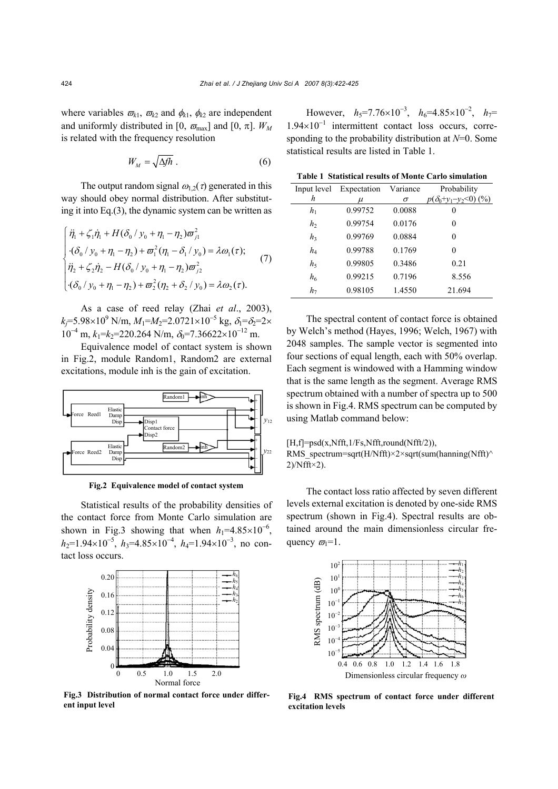where variables  $\overline{\omega}_{k1}$ ,  $\overline{\omega}_{k2}$  and  $\phi_{k1}$ ,  $\phi_{k2}$  are independent and uniformly distributed in [0,  $\varpi_{\text{max}}$ ] and [0,  $\pi$ ].  $W_M$ is related with the frequency resolution

$$
W_M = \sqrt{\Delta f h} \tag{6}
$$

The output random signal  $\omega_{1,2}(\tau)$  generated in this way should obey normal distribution. After substituting it into Eq.(3), the dynamic system can be written as

$$
\begin{cases}\n\ddot{\eta}_1 + \zeta_1 \dot{\eta}_1 + H(\delta_0 / y_0 + \eta_1 - \eta_2) \varpi_{j1}^2 \\
(\delta_0 / y_0 + \eta_1 - \eta_2) + \varpi_1^2 (\eta_1 - \delta_1 / y_0) = \lambda \omega_1(\tau); \\
\dot{\eta}_2 + \zeta_2 \dot{\eta}_2 - H(\delta_0 / y_0 + \eta_1 - \eta_2) \varpi_{j2}^2 \\
(\delta_0 / y_0 + \eta_1 - \eta_2) + \varpi_2^2 (\eta_2 + \delta_2 / y_0) = \lambda \omega_2(\tau).\n\end{cases}
$$
\n(7)

As a case of reed relay (Zhai *et al*., 2003),  $k_j$ =5.98×10<sup>9</sup> N/m,  $M_1$ = $M_2$ =2.0721×10<sup>-5</sup> kg,  $\delta_1$ = $\delta_2$ =2×  $10^{-4}$  m,  $k_1=k_2=220.264$  N/m,  $\delta_0=7.36622\times10^{-12}$  m.

Equivalence model of contact system is shown in Fig.2, module Random1, Random2 are external excitations, module inh is the gain of excitation.



**Fig.2 Equivalence model of contact system**

Statistical results of the probability densities of the contact force from Monte Carlo simulation are shown in Fig.3 showing that when  $h_1$ =4.85×10<sup>-6</sup>, *h*<sub>2</sub>=1.94×10<sup>-5</sup>, *h*<sub>3</sub>=4.85×10<sup>-4</sup>, *h*<sub>4</sub>=1.94×10<sup>-3</sup>, no contact loss occurs.



**Fig.3 Distribution of normal contact force under different input level**

However,  $h_5 = 7.76 \times 10^{-3}$ ,  $h_6 = 4.85 \times 10^{-2}$ ,  $h_7 =$ 1.94×10<sup>−</sup><sup>1</sup> intermittent contact loss occurs, corresponding to the probability distribution at *N*=0. Some statistical results are listed in Table 1.

**Table 1 Statistical results of Monte Carlo simulation**

| Input level    | Expectation | Variance | Probability                 |
|----------------|-------------|----------|-----------------------------|
| h              | u           | σ        | $p(\delta_0+y_1-y_2<0)$ (%) |
| $h_1$          | 0.99752     | 0.0088   | 0                           |
| h <sub>2</sub> | 0.99754     | 0.0176   | 0                           |
| $h_3$          | 0.99769     | 0.0884   | 0                           |
| $h_4$          | 0.99788     | 0.1769   | 0                           |
| $h_5$          | 0.99805     | 0.3486   | 0.21                        |
| $h_6$          | 0.99215     | 0.7196   | 8.556                       |
| h7             | 0.98105     | 1.4550   | 21.694                      |

The spectral content of contact force is obtained by Welch's method (Hayes, 1996; Welch, 1967) with 2048 samples. The sample vector is segmented into four sections of equal length, each with 50% overlap. Each segment is windowed with a Hamming window that is the same length as the segment. Average RMS spectrum obtained with a number of spectra up to 500 is shown in Fig.4. RMS spectrum can be computed by using Matlab command below:

### $[H.f]=psd(x,Nfft.1/Fs,Nfft,round(Nfft/2))$ , RMS\_spectrum=sqrt(H/Nfft)×2×sqrt(sum(hanning(Nfft)^ 2)/Nfft×2).

The contact loss ratio affected by seven different levels external excitation is denoted by one-side RMS spectrum (shown in Fig.4). Spectral results are obtained around the main dimensionless circular frequency  $\varpi_1=1$ .



**Fig.4 RMS spectrum of contact force under different excitation levels**